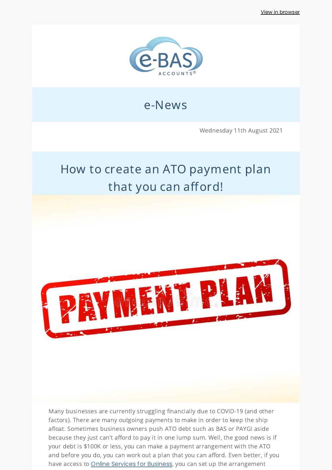View in [browser](http://localhost:3000/decode_hex/68747470733a2f2f707265766965772e6d61696c65726c6974652e636f6d2f77367a317332)



## e-News

Wednesday 11th August 2021

# How to create an ATO payment plan that you can afford!



Many businesses are currently struggling financially due to COVID-19 (and other factors). There are many outgoing payments to make in order to keep the ship afloat. Sometimes business owners push ATO debt such as BAS or PAYGI aside because they just can't afford to pay it in one lump sum. Well, the good news is if your debt is \$100K or less, you can make a payment arrangement with the ATO and before you do, you can work out a plan that you can afford. Even better, if you have access to **Online Services for [Business](https://www.ato.gov.au/General/Online-services/Businesses/?=redirected_OSB)**, you can set up the arrangement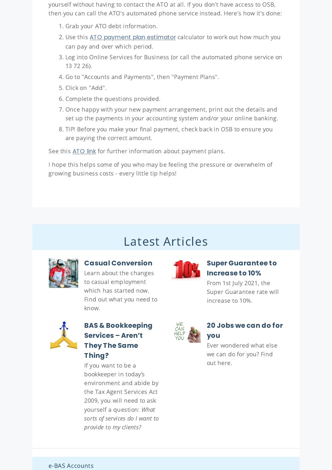yourself without having to contact the ATO at all. If you don't have access to OSB, then you can call the ATO's automated phone service instead. Here's how it's done:

- 1. Grab your ATO debt information.
- 2. Use this ATO payment plan [estimator](https://www.ato.gov.au/Calculators-and-tools/Host/?anchor=PaymentPlan&anchor=PaymentPlan/questions#PaymentPlan/questions) calculator to work out how much you can pay and over which period.
- 3. Log into Online Services for Business (or call the automated phone service on 13 72 26).
- 4. Go to "Accounts and Payments", then "Payment Plans".
- 5. Click on "Add".
- 6. Complete the questions provided.
- 7. Once happy with your new payment arrangement, print out the details and set up the payments in your accounting system and/or your online banking.
- 8. TIP! Before you make your final payment, check back in OSB to ensure you are paying the correct amount.

See this [ATO](https://www.ato.gov.au/general/paying-the-ato/help-with-paying/#Businesses) link for further information about payment plans.

I hope this helps some of you who may be feeling the pressure or overwhelm of growing business costs - every little tip helps!

## Latest Articles



**Casual [Conversion](https://www.e-bas.com.au/casual-conversion/)** Learn about the changes to casual employment

which has started now. Find out what you need to know.



#### **BAS & [Bookkeeping](https://www.e-bas.com.au/bas-bookkeeping-services-arent-they-the-same-thing/) Services – Aren't They The Same Thing?**

If you want to be a bookkeeper in today's environment and abide by the Tax Agent Services Act 2009, you will need to ask yourself a question: What sorts of services do I want to provide to my clients?



### **Super [Guarantee](https://www.e-bas.com.au/super-guarantee-to-increase-to-10/) to Increase to 10%**

From 1st July 2021, the Super Guarantee rate will increase to 10%.



#### **20 Jobs we can do for you**

Ever wondered what else we can do for you? Find out here.